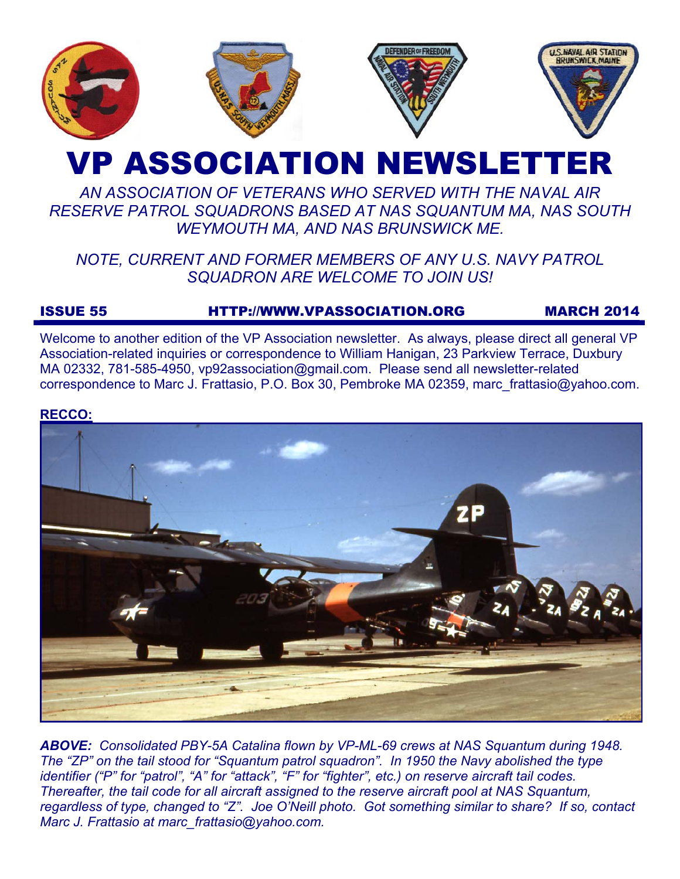

# VP ASSOCIATION NEWSLETTER

# *AN ASSOCIATION OF VETERANS WHO SERVED WITH THE NAVAL AIR RESERVE PATROL SQUADRONS BASED AT NAS SQUANTUM MA, NAS SOUTH WEYMOUTH MA, AND NAS BRUNSWICK ME.*

# *NOTE, CURRENT AND FORMER MEMBERS OF ANY U.S. NAVY PATROL SQUADRON ARE WELCOME TO JOIN US!*

# ISSUE 55 HTTP://WWW.VPASSOCIATION.ORG MARCH 2014

Welcome to another edition of the VP Association newsletter. As always, please direct all general VP Association-related inquiries or correspondence to William Hanigan, 23 Parkview Terrace, Duxbury MA 02332, 781-585-4950, vp92association@gmail.com. Please send all newsletter-related correspondence to Marc J. Frattasio, P.O. Box 30, Pembroke MA 02359, marc\_frattasio@yahoo.com.

#### **RECCO:**



*ABOVE: Consolidated PBY-5A Catalina flown by VP-ML-69 crews at NAS Squantum during 1948. The "ZP" on the tail stood for "Squantum patrol squadron". In 1950 the Navy abolished the type identifier ("P" for "patrol", "A" for "attack", "F" for "fighter", etc.) on reserve aircraft tail codes. Thereafter, the tail code for all aircraft assigned to the reserve aircraft pool at NAS Squantum, regardless of type, changed to "Z". Joe O'Neill photo. Got something similar to share? If so, contact Marc J. Frattasio at marc\_frattasio@yahoo.com.*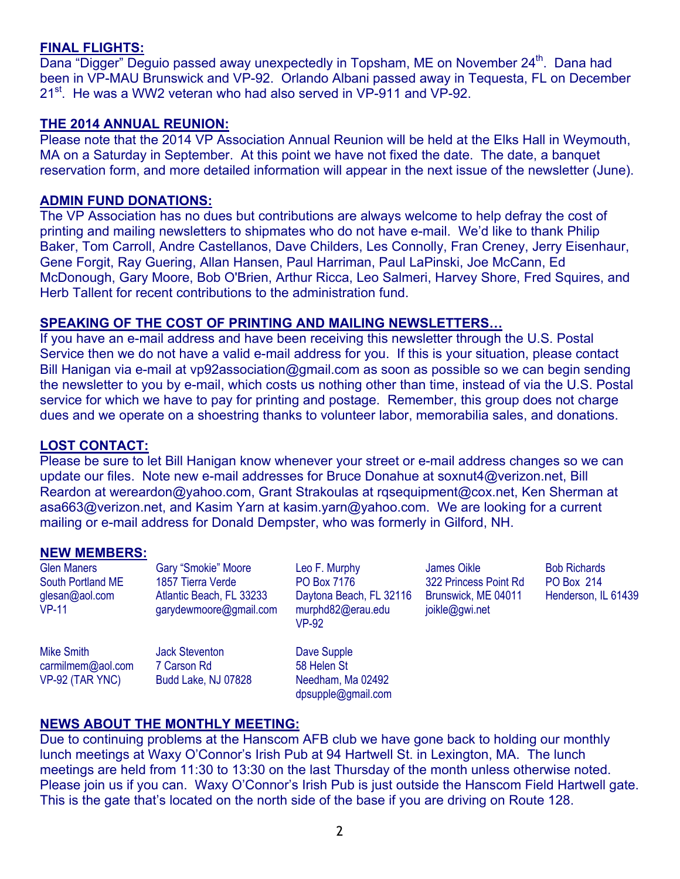# **FINAL FLIGHTS:**

Dana "Digger" Deguio passed away unexpectedly in Topsham, ME on November 24<sup>th</sup>. Dana had been in VP-MAU Brunswick and VP-92. Orlando Albani passed away in Tequesta, FL on December 21<sup>st</sup>. He was a WW2 veteran who had also served in VP-911 and VP-92.

#### **THE 2014 ANNUAL REUNION:**

Please note that the 2014 VP Association Annual Reunion will be held at the Elks Hall in Weymouth, MA on a Saturday in September. At this point we have not fixed the date. The date, a banquet reservation form, and more detailed information will appear in the next issue of the newsletter (June).

#### **ADMIN FUND DONATIONS:**

The VP Association has no dues but contributions are always welcome to help defray the cost of printing and mailing newsletters to shipmates who do not have e-mail. We'd like to thank Philip Baker, Tom Carroll, Andre Castellanos, Dave Childers, Les Connolly, Fran Creney, Jerry Eisenhaur, Gene Forgit, Ray Guering, Allan Hansen, Paul Harriman, Paul LaPinski, Joe McCann, Ed McDonough, Gary Moore, Bob O'Brien, Arthur Ricca, Leo Salmeri, Harvey Shore, Fred Squires, and Herb Tallent for recent contributions to the administration fund.

#### **SPEAKING OF THE COST OF PRINTING AND MAILING NEWSLETTERS…**

If you have an e-mail address and have been receiving this newsletter through the U.S. Postal Service then we do not have a valid e-mail address for you. If this is your situation, please contact Bill Hanigan via e-mail at vp92association@gmail.com as soon as possible so we can begin sending the newsletter to you by e-mail, which costs us nothing other than time, instead of via the U.S. Postal service for which we have to pay for printing and postage. Remember, this group does not charge dues and we operate on a shoestring thanks to volunteer labor, memorabilia sales, and donations.

#### **LOST CONTACT:**

Please be sure to let Bill Hanigan know whenever your street or e-mail address changes so we can update our files. Note new e-mail addresses for Bruce Donahue at soxnut4@verizon.net, Bill Reardon at wereardon@yahoo.com, Grant Strakoulas at rqsequipment@cox.net, Ken Sherman at asa663@verizon.net, and Kasim Yarn at kasim.yarn@yahoo.com. We are looking for a current mailing or e-mail address for Donald Dempster, who was formerly in Gilford, NH.

# **NEW MEMBERS:**

Glen Maners South Portland ME glesan@aol.com VP-11 Gary "Smokie" Moore 1857 Tierra Verde Atlantic Beach, FL 33233 garydewmoore@gmail.com

Mike Smith carmilmem@aol.com VP-92 (TAR YNC)

Jack Steventon 7 Carson Rd Budd Lake, NJ 07828 Leo F. Murphy PO Box 7176 Daytona Beach, FL 32116 murphd82@erau.edu VP-92

Dave Supple 58 Helen St Needham, Ma 02492 dpsupple@gmail.com

James Oikle 322 Princess Point Rd Brunswick, ME 04011 joikle@gwi.net

Bob Richards PO Box 214 Henderson, IL 61439

# **NEWS ABOUT THE MONTHLY MEETING:**

Due to continuing problems at the Hanscom AFB club we have gone back to holding our monthly lunch meetings at Waxy O'Connor's Irish Pub at 94 Hartwell St. in Lexington, MA. The lunch meetings are held from 11:30 to 13:30 on the last Thursday of the month unless otherwise noted. Please join us if you can. Waxy O'Connor's Irish Pub is just outside the Hanscom Field Hartwell gate. This is the gate that's located on the north side of the base if you are driving on Route 128.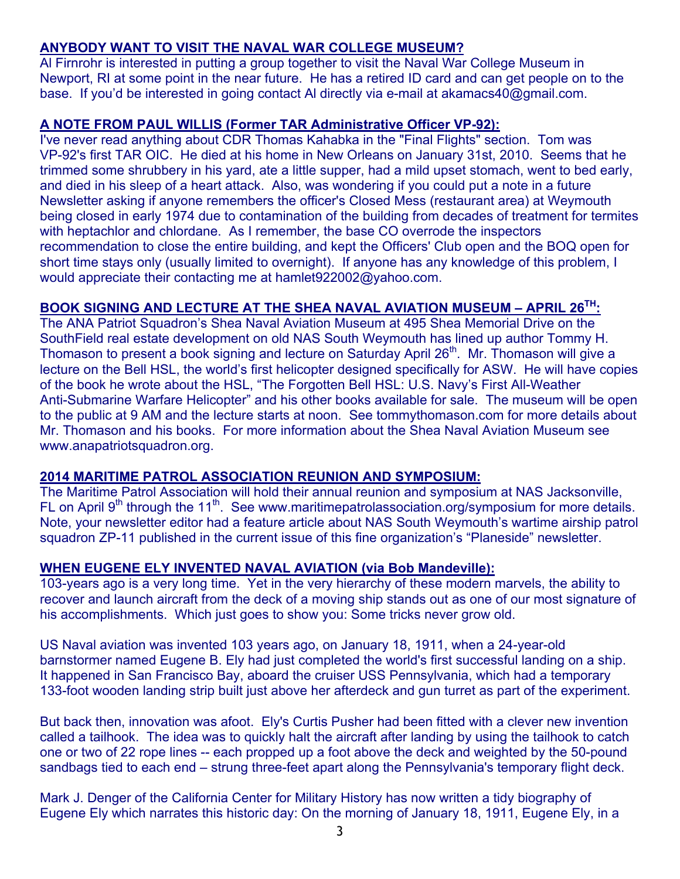# **ANYBODY WANT TO VISIT THE NAVAL WAR COLLEGE MUSEUM?**

Al Firnrohr is interested in putting a group together to visit the Naval War College Museum in Newport, RI at some point in the near future. He has a retired ID card and can get people on to the base. If you'd be interested in going contact Al directly via e-mail at akamacs40@gmail.com.

# **A NOTE FROM PAUL WILLIS (Former TAR Administrative Officer VP-92):**

I've never read anything about CDR Thomas Kahabka in the "Final Flights" section. Tom was VP-92's first TAR OIC. He died at his home in New Orleans on January 31st, 2010. Seems that he trimmed some shrubbery in his yard, ate a little supper, had a mild upset stomach, went to bed early, and died in his sleep of a heart attack. Also, was wondering if you could put a note in a future Newsletter asking if anyone remembers the officer's Closed Mess (restaurant area) at Weymouth being closed in early 1974 due to contamination of the building from decades of treatment for termites with heptachlor and chlordane. As I remember, the base CO overrode the inspectors recommendation to close the entire building, and kept the Officers' Club open and the BOQ open for short time stays only (usually limited to overnight). If anyone has any knowledge of this problem, I would appreciate their contacting me at hamlet922002@yahoo.com.

# **BOOK SIGNING AND LECTURE AT THE SHEA NAVAL AVIATION MUSEUM – APRIL 26TH:**

The ANA Patriot Squadron's Shea Naval Aviation Museum at 495 Shea Memorial Drive on the SouthField real estate development on old NAS South Weymouth has lined up author Tommy H. Thomason to present a book signing and lecture on Saturday April 26<sup>th</sup>. Mr. Thomason will give a lecture on the Bell HSL, the world's first helicopter designed specifically for ASW. He will have copies of the book he wrote about the HSL, "The Forgotten Bell HSL: U.S. Navy's First All-Weather Anti-Submarine Warfare Helicopter" and his other books available for sale. The museum will be open to the public at 9 AM and the lecture starts at noon. See tommythomason.com for more details about Mr. Thomason and his books. For more information about the Shea Naval Aviation Museum see www.anapatriotsquadron.org.

# **2014 MARITIME PATROL ASSOCIATION REUNION AND SYMPOSIUM:**

The Maritime Patrol Association will hold their annual reunion and symposium at NAS Jacksonville, FL on April  $9<sup>th</sup>$  through the 11<sup>th</sup>. See www.maritimepatrolassociation.org/symposium for more details. Note, your newsletter editor had a feature article about NAS South Weymouth's wartime airship patrol squadron ZP-11 published in the current issue of this fine organization's "Planeside" newsletter.

# **WHEN EUGENE ELY INVENTED NAVAL AVIATION (via Bob Mandeville):**

103-years ago is a very long time. Yet in the very hierarchy of these modern marvels, the ability to recover and launch aircraft from the deck of a moving ship stands out as one of our most signature of his accomplishments. Which just goes to show you: Some tricks never grow old.

US Naval aviation was invented 103 years ago, on January 18, 1911, when a 24-year-old barnstormer named Eugene B. Ely had just completed the world's first successful landing on a ship. It happened in San Francisco Bay, aboard the cruiser USS Pennsylvania, which had a temporary 133-foot wooden landing strip built just above her afterdeck and gun turret as part of the experiment.

But back then, innovation was afoot. Ely's Curtis Pusher had been fitted with a clever new invention called a tailhook. The idea was to quickly halt the aircraft after landing by using the tailhook to catch one or two of 22 rope lines -- each propped up a foot above the deck and weighted by the 50-pound sandbags tied to each end – strung three-feet apart along the Pennsylvania's temporary flight deck.

Mark J. Denger of the California Center for Military History has now written a tidy biography of Eugene Ely which narrates this historic day: On the morning of January 18, 1911, Eugene Ely, in a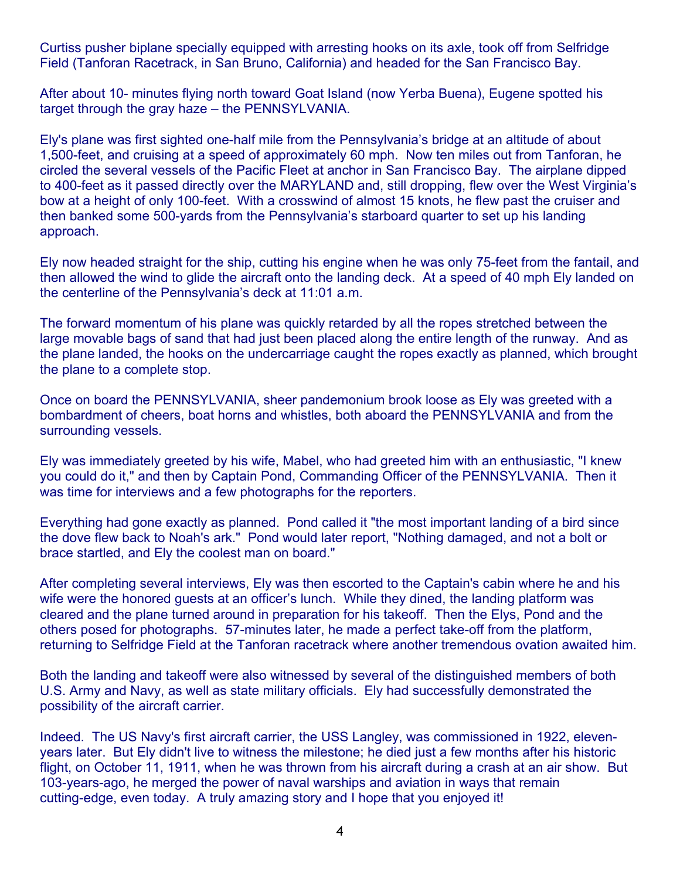Curtiss pusher biplane specially equipped with arresting hooks on its axle, took off from Selfridge Field (Tanforan Racetrack, in San Bruno, California) and headed for the San Francisco Bay.

After about 10- minutes flying north toward Goat Island (now Yerba Buena), Eugene spotted his target through the gray haze – the PENNSYLVANIA.

Ely's plane was first sighted one-half mile from the Pennsylvania's bridge at an altitude of about 1,500-feet, and cruising at a speed of approximately 60 mph. Now ten miles out from Tanforan, he circled the several vessels of the Pacific Fleet at anchor in San Francisco Bay. The airplane dipped to 400-feet as it passed directly over the MARYLAND and, still dropping, flew over the West Virginia's bow at a height of only 100-feet. With a crosswind of almost 15 knots, he flew past the cruiser and then banked some 500-yards from the Pennsylvania's starboard quarter to set up his landing approach.

Ely now headed straight for the ship, cutting his engine when he was only 75-feet from the fantail, and then allowed the wind to glide the aircraft onto the landing deck. At a speed of 40 mph Ely landed on the centerline of the Pennsylvania's deck at 11:01 a.m.

The forward momentum of his plane was quickly retarded by all the ropes stretched between the large movable bags of sand that had just been placed along the entire length of the runway. And as the plane landed, the hooks on the undercarriage caught the ropes exactly as planned, which brought the plane to a complete stop.

Once on board the PENNSYLVANIA, sheer pandemonium brook loose as Ely was greeted with a bombardment of cheers, boat horns and whistles, both aboard the PENNSYLVANIA and from the surrounding vessels.

Ely was immediately greeted by his wife, Mabel, who had greeted him with an enthusiastic, "I knew you could do it," and then by Captain Pond, Commanding Officer of the PENNSYLVANIA. Then it was time for interviews and a few photographs for the reporters.

Everything had gone exactly as planned. Pond called it "the most important landing of a bird since the dove flew back to Noah's ark." Pond would later report, "Nothing damaged, and not a bolt or brace startled, and Ely the coolest man on board."

After completing several interviews, Ely was then escorted to the Captain's cabin where he and his wife were the honored guests at an officer's lunch. While they dined, the landing platform was cleared and the plane turned around in preparation for his takeoff. Then the Elys, Pond and the others posed for photographs. 57-minutes later, he made a perfect take-off from the platform, returning to Selfridge Field at the Tanforan racetrack where another tremendous ovation awaited him.

Both the landing and takeoff were also witnessed by several of the distinguished members of both U.S. Army and Navy, as well as state military officials. Ely had successfully demonstrated the possibility of the aircraft carrier.

Indeed. The US Navy's first aircraft carrier, the USS Langley, was commissioned in 1922, elevenyears later. But Ely didn't live to witness the milestone; he died just a few months after his historic flight, on October 11, 1911, when he was thrown from his aircraft during a crash at an air show. But 103-years-ago, he merged the power of naval warships and aviation in ways that remain cutting-edge, even today. A truly amazing story and I hope that you enjoyed it!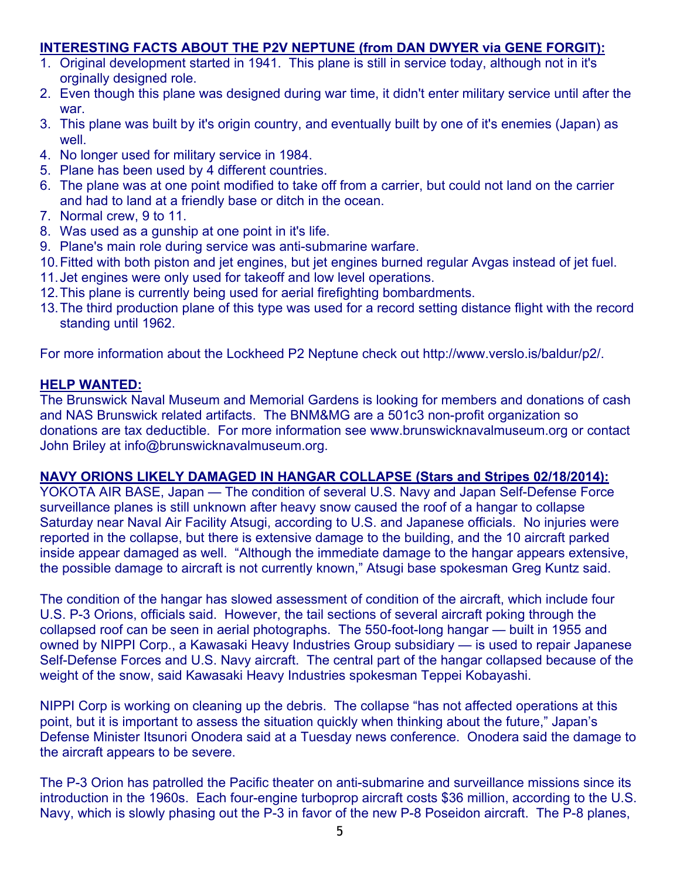# **INTERESTING FACTS ABOUT THE P2V NEPTUNE (from DAN DWYER via GENE FORGIT):**

- 1. Original development started in 1941. This plane is still in service today, although not in it's orginally designed role.
- 2. Even though this plane was designed during war time, it didn't enter military service until after the war.
- 3. This plane was built by it's origin country, and eventually built by one of it's enemies (Japan) as well.
- 4. No longer used for military service in 1984.
- 5. Plane has been used by 4 different countries.
- 6. The plane was at one point modified to take off from a carrier, but could not land on the carrier and had to land at a friendly base or ditch in the ocean.
- 7. Normal crew, 9 to 11.
- 8. Was used as a gunship at one point in it's life.
- 9. Plane's main role during service was anti-submarine warfare.
- 10. Fitted with both piston and jet engines, but jet engines burned regular Avgas instead of jet fuel.
- 11. Jet engines were only used for takeoff and low level operations.
- 12. This plane is currently being used for aerial firefighting bombardments.
- 13. The third production plane of this type was used for a record setting distance flight with the record standing until 1962.

For more information about the Lockheed P2 Neptune check out http://www.verslo.is/baldur/p2/.

# **HELP WANTED:**

The Brunswick Naval Museum and Memorial Gardens is looking for members and donations of cash and NAS Brunswick related artifacts. The BNM&MG are a 501c3 non-profit organization so donations are tax deductible. For more information see www.brunswicknavalmuseum.org or contact John Briley at info@brunswicknavalmuseum.org.

# **NAVY ORIONS LIKELY DAMAGED IN HANGAR COLLAPSE (Stars and Stripes 02/18/2014):**

YOKOTA AIR BASE, Japan — The condition of several U.S. Navy and Japan Self-Defense Force surveillance planes is still unknown after heavy snow caused the roof of a hangar to collapse Saturday near Naval Air Facility Atsugi, according to U.S. and Japanese officials. No injuries were reported in the collapse, but there is extensive damage to the building, and the 10 aircraft parked inside appear damaged as well. "Although the immediate damage to the hangar appears extensive, the possible damage to aircraft is not currently known," Atsugi base spokesman Greg Kuntz said.

The condition of the hangar has slowed assessment of condition of the aircraft, which include four U.S. P-3 Orions, officials said. However, the tail sections of several aircraft poking through the collapsed roof can be seen in aerial photographs. The 550-foot-long hangar — built in 1955 and owned by NIPPI Corp., a Kawasaki Heavy Industries Group subsidiary — is used to repair Japanese Self-Defense Forces and U.S. Navy aircraft. The central part of the hangar collapsed because of the weight of the snow, said Kawasaki Heavy Industries spokesman Teppei Kobayashi.

NIPPI Corp is working on cleaning up the debris. The collapse "has not affected operations at this point, but it is important to assess the situation quickly when thinking about the future," Japan's Defense Minister Itsunori Onodera said at a Tuesday news conference. Onodera said the damage to the aircraft appears to be severe.

The P-3 Orion has patrolled the Pacific theater on anti-submarine and surveillance missions since its introduction in the 1960s. Each four-engine turboprop aircraft costs \$36 million, according to the U.S. Navy, which is slowly phasing out the P-3 in favor of the new P-8 Poseidon aircraft. The P-8 planes,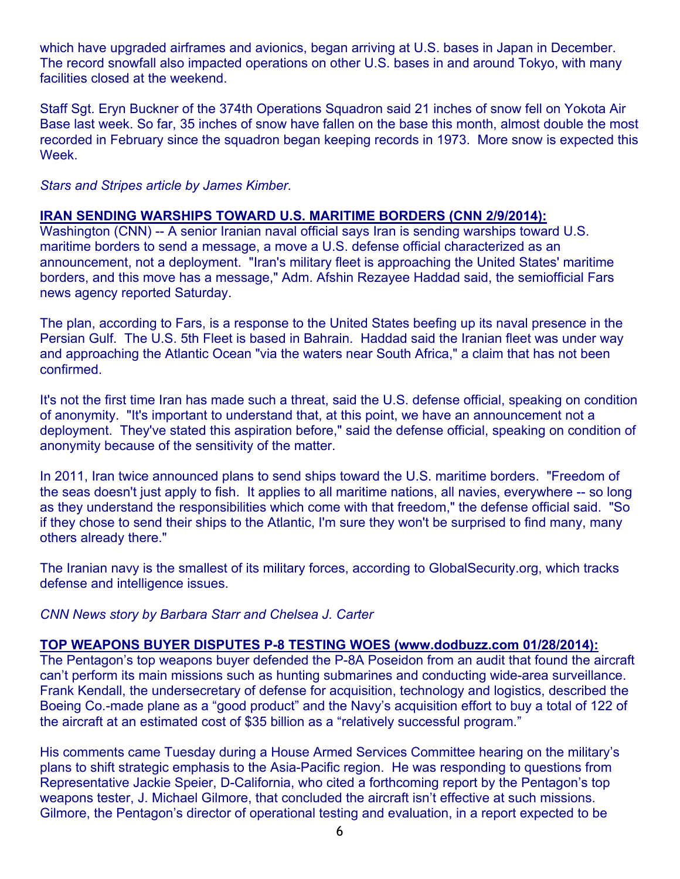which have upgraded airframes and avionics, began arriving at U.S. bases in Japan in December. The record snowfall also impacted operations on other U.S. bases in and around Tokyo, with many facilities closed at the weekend.

Staff Sgt. Eryn Buckner of the 374th Operations Squadron said 21 inches of snow fell on Yokota Air Base last week. So far, 35 inches of snow have fallen on the base this month, almost double the most recorded in February since the squadron began keeping records in 1973. More snow is expected this Week.

*Stars and Stripes article by James Kimber.* 

#### **IRAN SENDING WARSHIPS TOWARD U.S. MARITIME BORDERS (CNN 2/9/2014):**

Washington (CNN) -- A senior Iranian naval official says Iran is sending warships toward U.S. maritime borders to send a message, a move a U.S. defense official characterized as an announcement, not a deployment. "Iran's military fleet is approaching the United States' maritime borders, and this move has a message," Adm. Afshin Rezayee Haddad said, the semiofficial Fars news agency reported Saturday.

The plan, according to Fars, is a response to the United States beefing up its naval presence in the Persian Gulf. The U.S. 5th Fleet is based in Bahrain. Haddad said the Iranian fleet was under way and approaching the Atlantic Ocean "via the waters near South Africa," a claim that has not been confirmed.

It's not the first time Iran has made such a threat, said the U.S. defense official, speaking on condition of anonymity. "It's important to understand that, at this point, we have an announcement not a deployment. They've stated this aspiration before," said the defense official, speaking on condition of anonymity because of the sensitivity of the matter.

In 2011, Iran twice announced plans to send ships toward the U.S. maritime borders. "Freedom of the seas doesn't just apply to fish. It applies to all maritime nations, all navies, everywhere -- so long as they understand the responsibilities which come with that freedom," the defense official said. "So if they chose to send their ships to the Atlantic, I'm sure they won't be surprised to find many, many others already there."

The Iranian navy is the smallest of its military forces, according to GlobalSecurity.org, which tracks defense and intelligence issues.

*CNN News story by Barbara Starr and Chelsea J. Carter* 

# **TOP WEAPONS BUYER DISPUTES P-8 TESTING WOES (www.dodbuzz.com 01/28/2014):**

The Pentagon's top weapons buyer defended the P-8A Poseidon from an audit that found the aircraft can't perform its main missions such as hunting submarines and conducting wide-area surveillance. Frank Kendall, the undersecretary of defense for acquisition, technology and logistics, described the Boeing Co.-made plane as a "good product" and the Navy's acquisition effort to buy a total of 122 of the aircraft at an estimated cost of \$35 billion as a "relatively successful program."

His comments came Tuesday during a House Armed Services Committee hearing on the military's plans to shift strategic emphasis to the Asia-Pacific region. He was responding to questions from Representative Jackie Speier, D-California, who cited a forthcoming report by the Pentagon's top weapons tester, J. Michael Gilmore, that concluded the aircraft isn't effective at such missions. Gilmore, the Pentagon's director of operational testing and evaluation, in a report expected to be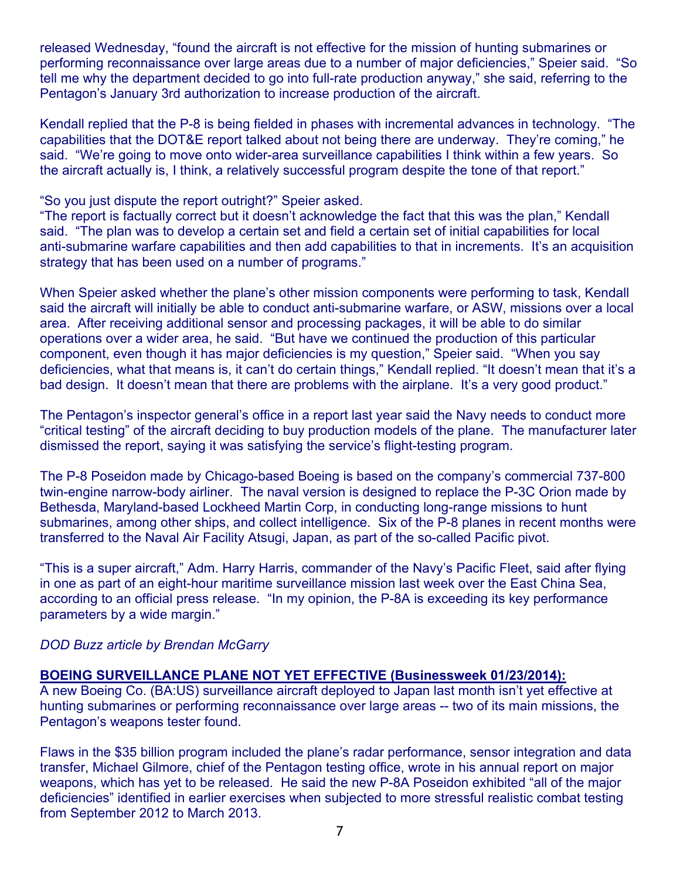released Wednesday, "found the aircraft is not effective for the mission of hunting submarines or performing reconnaissance over large areas due to a number of major deficiencies," Speier said. "So tell me why the department decided to go into full-rate production anyway," she said, referring to the Pentagon's January 3rd authorization to increase production of the aircraft.

Kendall replied that the P-8 is being fielded in phases with incremental advances in technology. "The capabilities that the DOT&E report talked about not being there are underway. They're coming," he said. "We're going to move onto wider-area surveillance capabilities I think within a few years. So the aircraft actually is, I think, a relatively successful program despite the tone of that report."

"So you just dispute the report outright?" Speier asked.

"The report is factually correct but it doesn't acknowledge the fact that this was the plan," Kendall said. "The plan was to develop a certain set and field a certain set of initial capabilities for local anti-submarine warfare capabilities and then add capabilities to that in increments. It's an acquisition strategy that has been used on a number of programs."

When Speier asked whether the plane's other mission components were performing to task, Kendall said the aircraft will initially be able to conduct anti-submarine warfare, or ASW, missions over a local area. After receiving additional sensor and processing packages, it will be able to do similar operations over a wider area, he said. "But have we continued the production of this particular component, even though it has major deficiencies is my question," Speier said. "When you say deficiencies, what that means is, it can't do certain things," Kendall replied. "It doesn't mean that it's a bad design. It doesn't mean that there are problems with the airplane. It's a very good product."

The Pentagon's inspector general's office in a report last year said the Navy needs to conduct more "critical testing" of the aircraft deciding to buy production models of the plane. The manufacturer later dismissed the report, saying it was satisfying the service's flight-testing program.

The P-8 Poseidon made by Chicago-based Boeing is based on the company's commercial 737-800 twin-engine narrow-body airliner. The naval version is designed to replace the P-3C Orion made by Bethesda, Maryland-based Lockheed Martin Corp, in conducting long-range missions to hunt submarines, among other ships, and collect intelligence. Six of the P-8 planes in recent months were transferred to the Naval Air Facility Atsugi, Japan, as part of the so-called Pacific pivot.

"This is a super aircraft," Adm. Harry Harris, commander of the Navy's Pacific Fleet, said after flying in one as part of an eight-hour maritime surveillance mission last week over the East China Sea, according to an official press release. "In my opinion, the P-8A is exceeding its key performance parameters by a wide margin."

# *DOD Buzz article by Brendan McGarry*

# **BOEING SURVEILLANCE PLANE NOT YET EFFECTIVE (Businessweek 01/23/2014):**

A new Boeing Co. (BA:US) surveillance aircraft deployed to Japan last month isn't yet effective at hunting submarines or performing reconnaissance over large areas -- two of its main missions, the Pentagon's weapons tester found.

Flaws in the \$35 billion program included the plane's radar performance, sensor integration and data transfer, Michael Gilmore, chief of the Pentagon testing office, wrote in his annual report on major weapons, which has yet to be released. He said the new P-8A Poseidon exhibited "all of the major deficiencies" identified in earlier exercises when subjected to more stressful realistic combat testing from September 2012 to March 2013.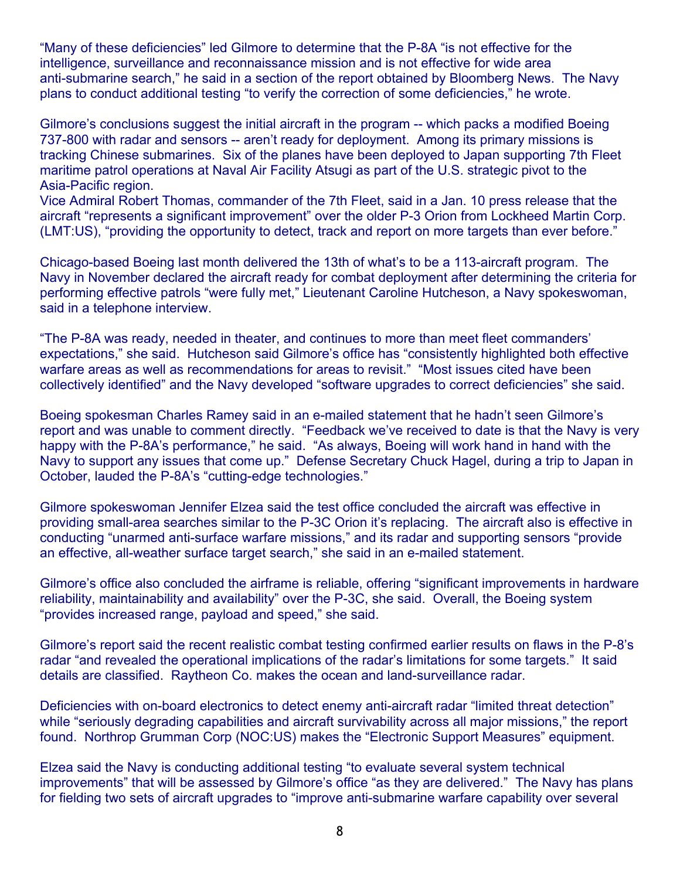"Many of these deficiencies" led Gilmore to determine that the P-8A "is not effective for the intelligence, surveillance and reconnaissance mission and is not effective for wide area anti-submarine search," he said in a section of the report obtained by Bloomberg News. The Navy plans to conduct additional testing "to verify the correction of some deficiencies," he wrote.

Gilmore's conclusions suggest the initial aircraft in the program -- which packs a modified Boeing 737-800 with radar and sensors -- aren't ready for deployment. Among its primary missions is tracking Chinese submarines. Six of the planes have been deployed to Japan supporting 7th Fleet maritime patrol operations at Naval Air Facility Atsugi as part of the U.S. strategic pivot to the Asia-Pacific region.

Vice Admiral Robert Thomas, commander of the 7th Fleet, said in a Jan. 10 press release that the aircraft "represents a significant improvement" over the older P-3 Orion from Lockheed Martin Corp. (LMT:US), "providing the opportunity to detect, track and report on more targets than ever before."

Chicago-based Boeing last month delivered the 13th of what's to be a 113-aircraft program. The Navy in November declared the aircraft ready for combat deployment after determining the criteria for performing effective patrols "were fully met," Lieutenant Caroline Hutcheson, a Navy spokeswoman, said in a telephone interview.

"The P-8A was ready, needed in theater, and continues to more than meet fleet commanders' expectations," she said. Hutcheson said Gilmore's office has "consistently highlighted both effective warfare areas as well as recommendations for areas to revisit." "Most issues cited have been collectively identified" and the Navy developed "software upgrades to correct deficiencies" she said.

Boeing spokesman Charles Ramey said in an e-mailed statement that he hadn't seen Gilmore's report and was unable to comment directly. "Feedback we've received to date is that the Navy is very happy with the P-8A's performance," he said. "As always, Boeing will work hand in hand with the Navy to support any issues that come up." Defense Secretary Chuck Hagel, during a trip to Japan in October, lauded the P-8A's "cutting-edge technologies."

Gilmore spokeswoman Jennifer Elzea said the test office concluded the aircraft was effective in providing small-area searches similar to the P-3C Orion it's replacing. The aircraft also is effective in conducting "unarmed anti-surface warfare missions," and its radar and supporting sensors "provide an effective, all-weather surface target search," she said in an e-mailed statement.

Gilmore's office also concluded the airframe is reliable, offering "significant improvements in hardware reliability, maintainability and availability" over the P-3C, she said. Overall, the Boeing system "provides increased range, payload and speed," she said.

Gilmore's report said the recent realistic combat testing confirmed earlier results on flaws in the P-8's radar "and revealed the operational implications of the radar's limitations for some targets." It said details are classified. Raytheon Co. makes the ocean and land-surveillance radar.

Deficiencies with on-board electronics to detect enemy anti-aircraft radar "limited threat detection" while "seriously degrading capabilities and aircraft survivability across all major missions," the report found. Northrop Grumman Corp (NOC:US) makes the "Electronic Support Measures" equipment.

Elzea said the Navy is conducting additional testing "to evaluate several system technical improvements" that will be assessed by Gilmore's office "as they are delivered." The Navy has plans for fielding two sets of aircraft upgrades to "improve anti-submarine warfare capability over several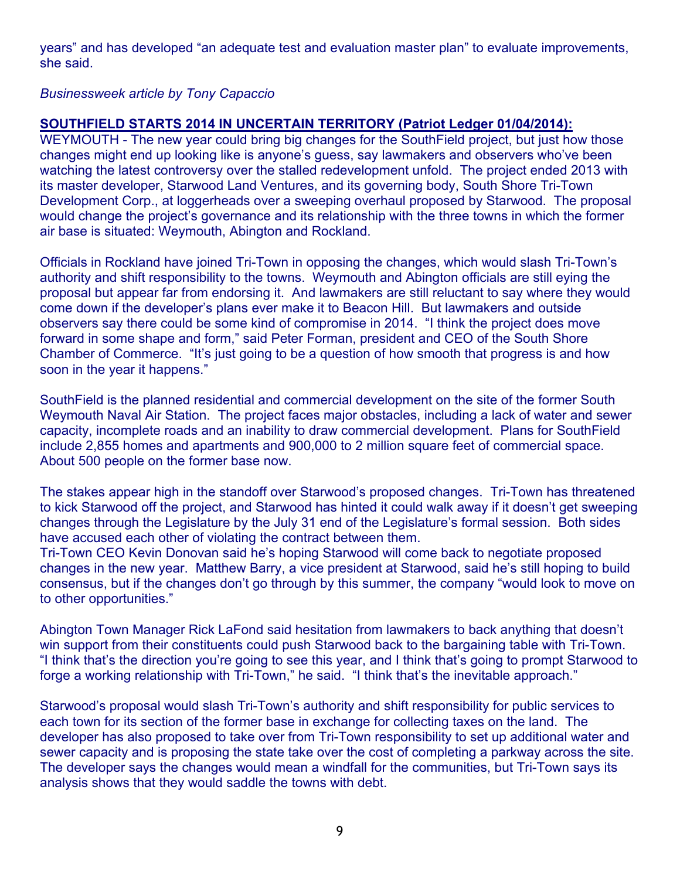years" and has developed "an adequate test and evaluation master plan" to evaluate improvements, she said.

# *Businessweek article by Tony Capaccio*

# **SOUTHFIELD STARTS 2014 IN UNCERTAIN TERRITORY (Patriot Ledger 01/04/2014):**

WEYMOUTH - The new year could bring big changes for the SouthField project, but just how those changes might end up looking like is anyone's guess, say lawmakers and observers who've been watching the latest controversy over the stalled redevelopment unfold. The project ended 2013 with its master developer, Starwood Land Ventures, and its governing body, South Shore Tri-Town Development Corp., at loggerheads over a sweeping overhaul proposed by Starwood. The proposal would change the project's governance and its relationship with the three towns in which the former air base is situated: Weymouth, Abington and Rockland.

Officials in Rockland have joined Tri-Town in opposing the changes, which would slash Tri-Town's authority and shift responsibility to the towns. Weymouth and Abington officials are still eying the proposal but appear far from endorsing it. And lawmakers are still reluctant to say where they would come down if the developer's plans ever make it to Beacon Hill. But lawmakers and outside observers say there could be some kind of compromise in 2014. "I think the project does move forward in some shape and form," said Peter Forman, president and CEO of the South Shore Chamber of Commerce. "It's just going to be a question of how smooth that progress is and how soon in the year it happens."

SouthField is the planned residential and commercial development on the site of the former South Weymouth Naval Air Station. The project faces major obstacles, including a lack of water and sewer capacity, incomplete roads and an inability to draw commercial development. Plans for SouthField include 2,855 homes and apartments and 900,000 to 2 million square feet of commercial space. About 500 people on the former base now.

The stakes appear high in the standoff over Starwood's proposed changes. Tri-Town has threatened to kick Starwood off the project, and Starwood has hinted it could walk away if it doesn't get sweeping changes through the Legislature by the July 31 end of the Legislature's formal session. Both sides have accused each other of violating the contract between them.

Tri-Town CEO Kevin Donovan said he's hoping Starwood will come back to negotiate proposed changes in the new year. Matthew Barry, a vice president at Starwood, said he's still hoping to build consensus, but if the changes don't go through by this summer, the company "would look to move on to other opportunities."

Abington Town Manager Rick LaFond said hesitation from lawmakers to back anything that doesn't win support from their constituents could push Starwood back to the bargaining table with Tri-Town. "I think that's the direction you're going to see this year, and I think that's going to prompt Starwood to forge a working relationship with Tri-Town," he said. "I think that's the inevitable approach."

Starwood's proposal would slash Tri-Town's authority and shift responsibility for public services to each town for its section of the former base in exchange for collecting taxes on the land. The developer has also proposed to take over from Tri-Town responsibility to set up additional water and sewer capacity and is proposing the state take over the cost of completing a parkway across the site. The developer says the changes would mean a windfall for the communities, but Tri-Town says its analysis shows that they would saddle the towns with debt.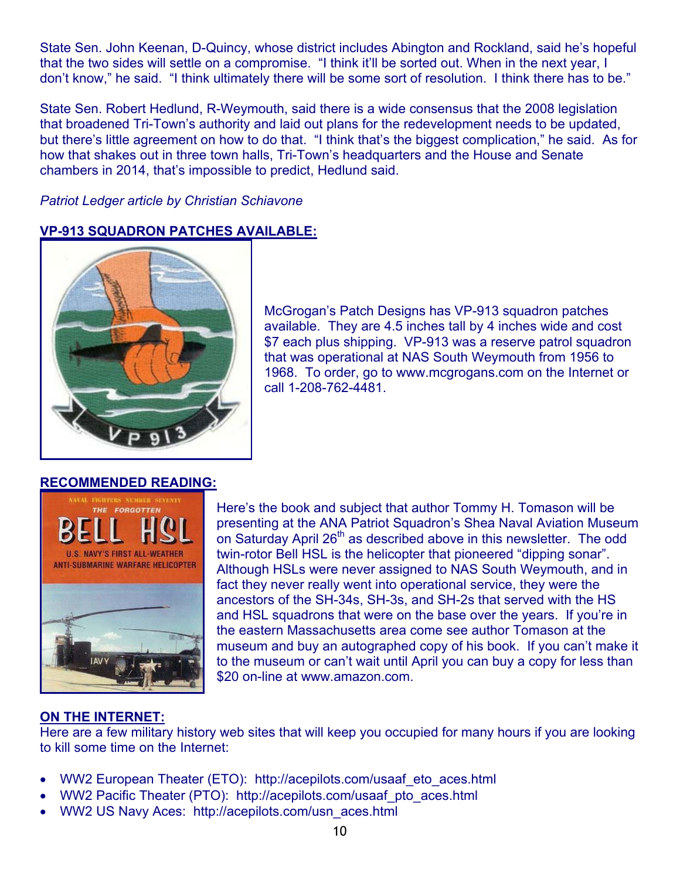State Sen. John Keenan, D-Quincy, whose district includes Abington and Rockland, said he's hopeful that the two sides will settle on a compromise. "I think it'll be sorted out. When in the next year, I don't know," he said. "I think ultimately there will be some sort of resolution. I think there has to be."

State Sen. Robert Hedlund, R-Weymouth, said there is a wide consensus that the 2008 legislation that broadened Tri-Town's authority and laid out plans for the redevelopment needs to be updated, but there's little agreement on how to do that. "I think that's the biggest complication," he said. As for how that shakes out in three town halls, Tri-Town's headquarters and the House and Senate chambers in 2014, that's impossible to predict, Hedlund said.

*Patriot Ledger article by Christian Schiavone* 

# **VP-913 SQUADRON PATCHES AVAILABLE:**



McGrogan's Patch Designs has VP-913 squadron patches available. They are 4.5 inches tall by 4 inches wide and cost \$7 each plus shipping. VP-913 was a reserve patrol squadron that was operational at NAS South Weymouth from 1956 to 1968. To order, go to www.mcgrogans.com on the Internet or call 1-208-762-4481.

# **RECOMMENDED READING:**



Here's the book and subject that author Tommy H. Tomason will be presenting at the ANA Patriot Squadron's Shea Naval Aviation Museum on Saturday April 26<sup>th</sup> as described above in this newsletter. The odd twin-rotor Bell HSL is the helicopter that pioneered "dipping sonar". Although HSLs were never assigned to NAS South Weymouth, and in fact they never really went into operational service, they were the ancestors of the SH-34s, SH-3s, and SH-2s that served with the HS and HSL squadrons that were on the base over the years. If you're in the eastern Massachusetts area come see author Tomason at the museum and buy an autographed copy of his book. If you can't make it to the museum or can't wait until April you can buy a copy for less than \$20 on-line at www.amazon.com.

# **ON THE INTERNET:**

Here are a few military history web sites that will keep you occupied for many hours if you are looking to kill some time on the Internet:

- WW2 European Theater (ETO): http://acepilots.com/usaaf\_eto\_aces.html
- WW2 Pacific Theater (PTO): http://acepilots.com/usaaf\_pto\_aces.html
- WW2 US Navy Aces: http://acepilots.com/usn\_aces.html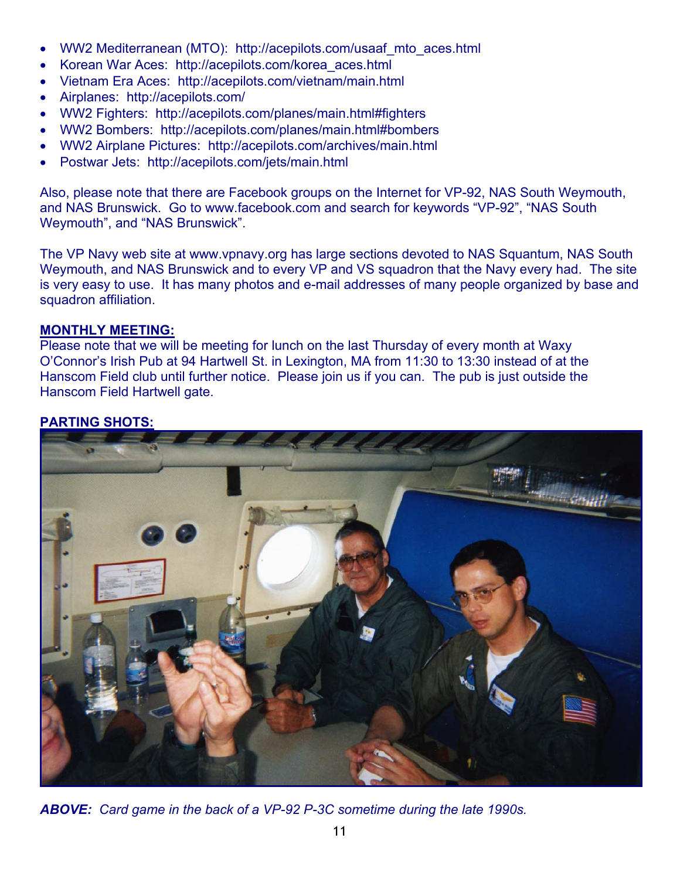- WW2 Mediterranean (MTO): http://acepilots.com/usaaf\_mto\_aces.html
- Korean War Aces: http://acepilots.com/korea\_aces.html
- Vietnam Era Aces: http://acepilots.com/vietnam/main.html
- Airplanes: http://acepilots.com/
- WW2 Fighters: http://acepilots.com/planes/main.html#fighters
- WW2 Bombers: http://acepilots.com/planes/main.html#bombers
- WW2 Airplane Pictures: http://acepilots.com/archives/main.html
- Postwar Jets: http://acepilots.com/jets/main.html

Also, please note that there are Facebook groups on the Internet for VP-92, NAS South Weymouth, and NAS Brunswick. Go to www.facebook.com and search for keywords "VP-92", "NAS South Weymouth", and "NAS Brunswick".

The VP Navy web site at www.vpnavy.org has large sections devoted to NAS Squantum, NAS South Weymouth, and NAS Brunswick and to every VP and VS squadron that the Navy every had. The site is very easy to use. It has many photos and e-mail addresses of many people organized by base and squadron affiliation.

#### **MONTHLY MEETING:**

Please note that we will be meeting for lunch on the last Thursday of every month at Waxy O'Connor's Irish Pub at 94 Hartwell St. in Lexington, MA from 11:30 to 13:30 instead of at the Hanscom Field club until further notice. Please join us if you can. The pub is just outside the Hanscom Field Hartwell gate.

# **PARTING SHOTS:**



*ABOVE: Card game in the back of a VP-92 P-3C sometime during the late 1990s.*